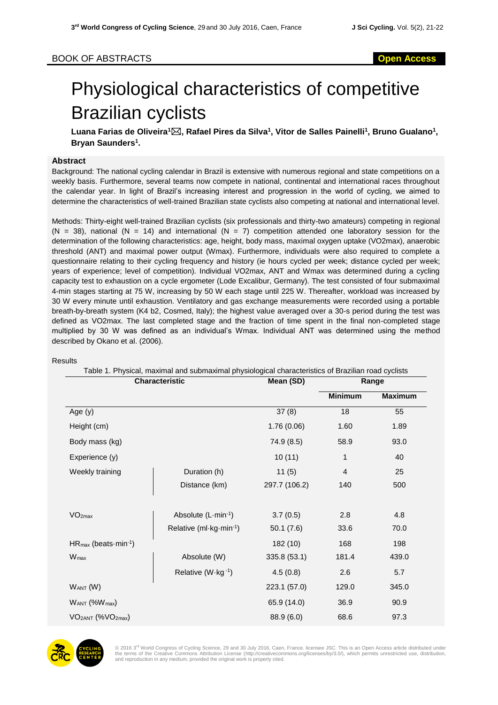## BOOK OF ABSTRACTS **Open Access**

# Physiological characteristics of competitive Brazilian cyclists

**Luana Farias de Oliveira<sup>1</sup>, Rafael Pires da Silva<sup>1</sup> , Vitor de Salles Painelli<sup>1</sup> , Bruno Gualano<sup>1</sup> , Bryan Saunders<sup>1</sup> .**

#### **Abstract**

Background: The national cycling calendar in Brazil is extensive with numerous regional and state competitions on a weekly basis. Furthermore, several teams now compete in national, continental and international races throughout the calendar year. In light of Brazil's increasing interest and progression in the world of cycling, we aimed to determine the characteristics of well-trained Brazilian state cyclists also competing at national and international level.

Methods: Thirty-eight well-trained Brazilian cyclists (six professionals and thirty-two amateurs) competing in regional  $(N = 38)$ , national  $(N = 14)$  and international  $(N = 7)$  competition attended one laboratory session for the determination of the following characteristics: age, height, body mass, maximal oxygen uptake (VO2max), anaerobic threshold (ANT) and maximal power output (Wmax). Furthermore, individuals were also required to complete a questionnaire relating to their cycling frequency and history (ie hours cycled per week; distance cycled per week; years of experience; level of competition). Individual VO2max, ANT and Wmax was determined during a cycling capacity test to exhaustion on a cycle ergometer (Lode Excalibur, Germany). The test consisted of four submaximal 4-min stages starting at 75 W, increasing by 50 W each stage until 225 W. Thereafter, workload was increased by 30 W every minute until exhaustion. Ventilatory and gas exchange measurements were recorded using a portable breath-by-breath system (K4 b2, Cosmed, Italy); the highest value averaged over a 30-s period during the test was defined as VO2max. The last completed stage and the fraction of time spent in the final non-completed stage multiplied by 30 W was defined as an individual's Wmax. Individual ANT was determined using the method described by Okano et al. (2006).

| <b>Characteristic</b>                     |                               | Mean (SD)     | Range          |                |
|-------------------------------------------|-------------------------------|---------------|----------------|----------------|
|                                           |                               |               | <b>Minimum</b> | <b>Maximum</b> |
| Age (y)                                   |                               | 37(8)         | 18             | 55             |
| Height (cm)                               |                               | 1.76(0.06)    | 1.60           | 1.89           |
| Body mass (kg)                            |                               | 74.9 (8.5)    | 58.9           | 93.0           |
| Experience (y)                            |                               | 10(11)        | 1              | 40             |
| Weekly training                           | Duration (h)                  | 11(5)         | $\overline{4}$ | 25             |
|                                           | Distance (km)                 | 297.7 (106.2) | 140            | 500            |
| VO <sub>2max</sub>                        | Absolute $(L \cdot min^{-1})$ | 3.7(0.5)      | 2.8            | 4.8            |
|                                           | Relative (ml-kg-min-1)        | 50.1(7.6)     | 33.6           | 70.0           |
| $HR_{max}$ (beats $min^{-1}$ )            |                               | 182 (10)      | 168            | 198            |
| W <sub>max</sub>                          | Absolute (W)                  | 335.8 (53.1)  | 181.4          | 439.0          |
|                                           | Relative $(W \cdot kg^{-1})$  | 4.5(0.8)      | 2.6            | 5.7            |
| $W_{ANT} (W)$                             |                               | 223.1 (57.0)  | 129.0          | 345.0          |
| WANT (%Wmax)                              |                               | 65.9 (14.0)   | 36.9           | 90.9           |
| VO <sub>2ANT</sub> (%VO <sub>2max</sub> ) |                               | 88.9 (6.0)    | 68.6           | 97.3           |

Results



© 2016 3<sup>rd</sup> World Congress of Cycling Science, 29 and 30 July 2016, Caen, France. licensee JSC. This is an Open Access article distributed under<br>the terms of the Creative Commons Attribution License (http://creativecommon and reproduction in any medium, provided the original work is properly cited.